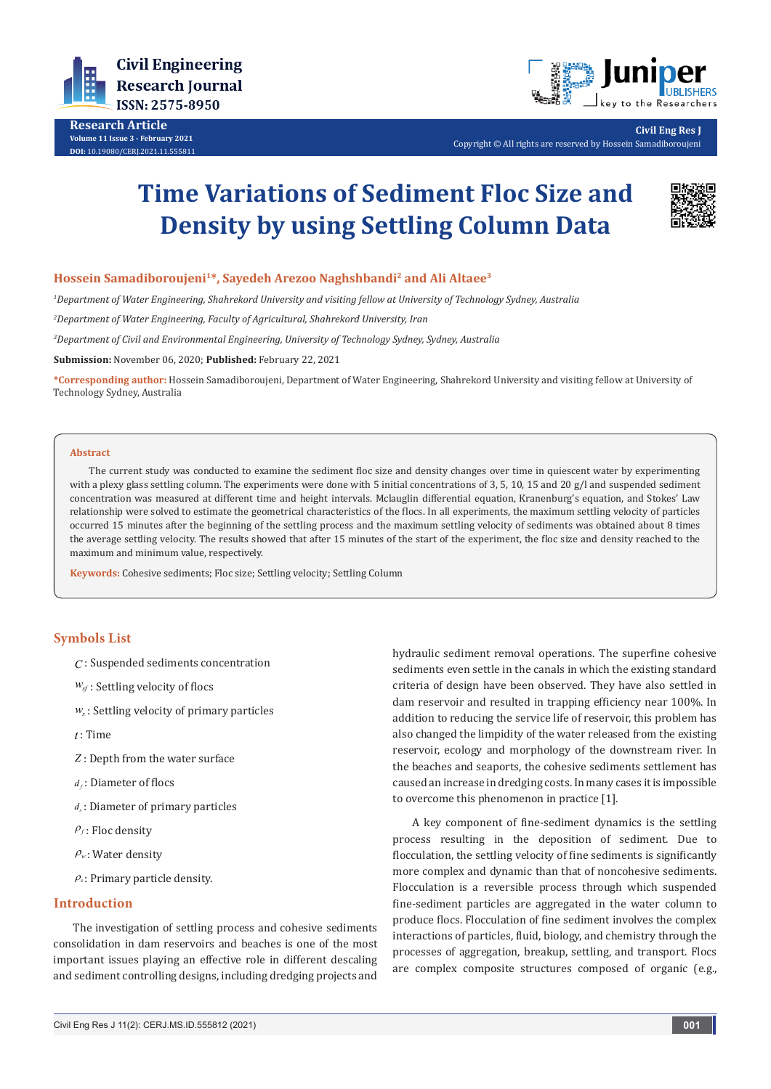

**Research Article Volume 11 Issue 3 - February 2021 DOI:** [10.19080/CERJ.2021.11.555](http://dx.doi.org/10.19080/CERJ.2021.11.555811)811



**Civil Eng Res J** Copyright © All rights are reserved by Hossein Samadiboroujeni

# **Time Variations of Sediment Floc Size and Density by using Settling Column Data**



# **Hossein Samadiboroujeni1\*, Sayedeh Arezoo Naghshbandi2 and Ali Altaee3**

*1 Department of Water Engineering, Shahrekord University and visiting fellow at University of Technology Sydney, Australia*

*2 Department of Water Engineering, Faculty of Agricultural, Shahrekord University, Iran*

*3 Department of Civil and Environmental Engineering, University of Technology Sydney, Sydney, Australia*

**Submission:** November 06, 2020; **Published:** February 22, 2021

**\*Corresponding author:** Hossein Samadiboroujeni, Department of Water Engineering, Shahrekord University and visiting fellow at University of Technology Sydney, Australia

#### **Abstract**

The current study was conducted to examine the sediment floc size and density changes over time in quiescent water by experimenting with a plexy glass settling column. The experiments were done with 5 initial concentrations of 3, 5, 10, 15 and 20 g/l and suspended sediment concentration was measured at different time and height intervals. Mclauglin differential equation, Kranenburg's equation, and Stokes' Law relationship were solved to estimate the geometrical characteristics of the flocs. In all experiments, the maximum settling velocity of particles occurred 15 minutes after the beginning of the settling process and the maximum settling velocity of sediments was obtained about 8 times the average settling velocity. The results showed that after 15 minutes of the start of the experiment, the floc size and density reached to the maximum and minimum value, respectively.

**Keywords:** Cohesive sediments; Floc size; Settling velocity; Settling Column

# **Symbols List**

*C* : Suspended sediments concentration

- *wsf* : Settling velocity of flocs
- *ws* : Settling velocity of primary particles
- *t* : Time
- *Z* : Depth from the water surface
- *<sup>f</sup> d* : Diameter of flocs
- *<sup>s</sup> d* : Diameter of primary particles
- $P_f$ : Floc density
- $\rho_w$ : Water density
- <sup>ρ</sup>*<sup>s</sup>* : Primary particle density.

## **Introduction**

The investigation of settling process and cohesive sediments consolidation in dam reservoirs and beaches is one of the most important issues playing an effective role in different descaling and sediment controlling designs, including dredging projects and

hydraulic sediment removal operations. The superfine cohesive sediments even settle in the canals in which the existing standard criteria of design have been observed. They have also settled in dam reservoir and resulted in trapping efficiency near 100%. In addition to reducing the service life of reservoir, this problem has also changed the limpidity of the water released from the existing reservoir, ecology and morphology of the downstream river. In the beaches and seaports, the cohesive sediments settlement has caused an increase in dredging costs. In many cases it is impossible to overcome this phenomenon in practice [1].

A key component of fine-sediment dynamics is the settling process resulting in the deposition of sediment. Due to flocculation, the settling velocity of fine sediments is significantly more complex and dynamic than that of noncohesive sediments. Flocculation is a reversible process through which suspended fine-sediment particles are aggregated in the water column to produce flocs. Flocculation of fine sediment involves the complex interactions of particles, fluid, biology, and chemistry through the processes of aggregation, breakup, settling, and transport. Flocs are complex composite structures composed of organic (e.g.,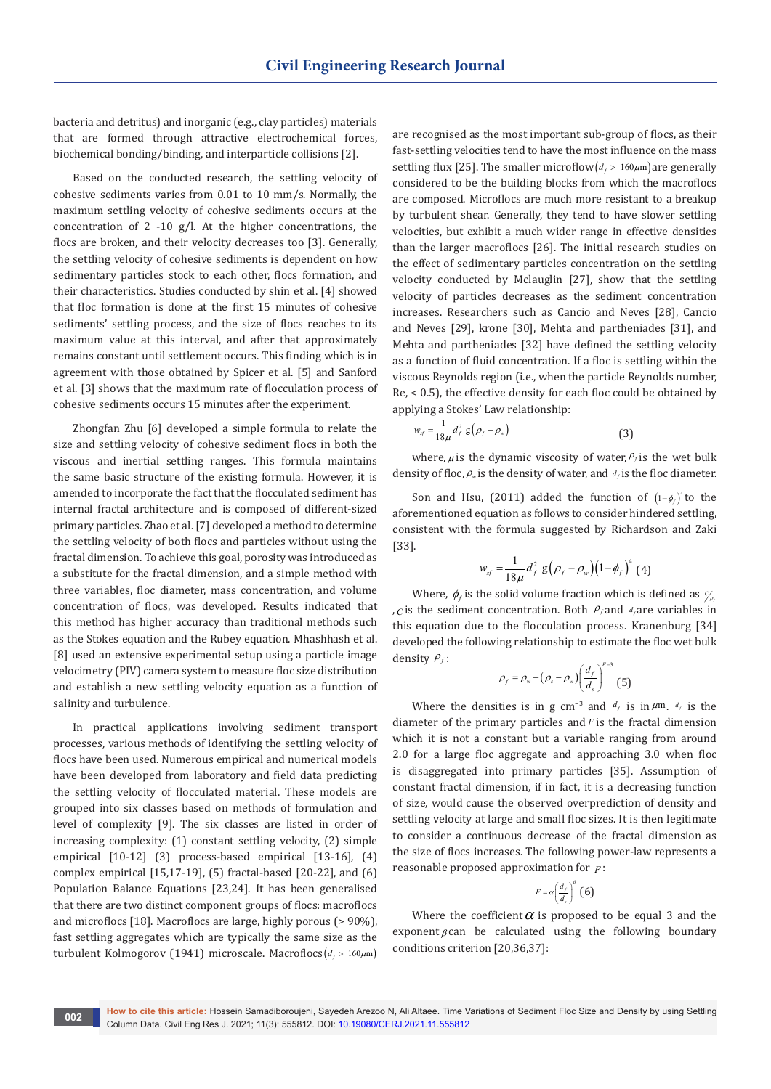bacteria and detritus) and inorganic (e.g., clay particles) materials that are formed through attractive electrochemical forces, biochemical bonding/binding, and interparticle collisions [2].

Based on the conducted research, the settling velocity of cohesive sediments varies from 0.01 to 10 mm/s. Normally, the maximum settling velocity of cohesive sediments occurs at the concentration of 2 -10 g/l. At the higher concentrations, the flocs are broken, and their velocity decreases too [3]. Generally, the settling velocity of cohesive sediments is dependent on how sedimentary particles stock to each other, flocs formation, and their characteristics. Studies conducted by shin et al. [4] showed that floc formation is done at the first 15 minutes of cohesive sediments' settling process, and the size of flocs reaches to its maximum value at this interval, and after that approximately remains constant until settlement occurs. This finding which is in agreement with those obtained by Spicer et al. [5] and Sanford et al. [3] shows that the maximum rate of flocculation process of cohesive sediments occurs 15 minutes after the experiment.

Zhongfan Zhu [6] developed a simple formula to relate the size and settling velocity of cohesive sediment flocs in both the viscous and inertial settling ranges. This formula maintains the same basic structure of the existing formula. However, it is amended to incorporate the fact that the flocculated sediment has internal fractal architecture and is composed of different-sized primary particles. Zhao et al. [7] developed a method to determine the settling velocity of both flocs and particles without using the fractal dimension. To achieve this goal, porosity was introduced as a substitute for the fractal dimension, and a simple method with three variables, floc diameter, mass concentration, and volume concentration of flocs, was developed. Results indicated that this method has higher accuracy than traditional methods such as the Stokes equation and the Rubey equation. Mhashhash et al. [8] used an extensive experimental setup using a particle image velocimetry (PIV) camera system to measure floc size distribution and establish a new settling velocity equation as a function of salinity and turbulence.

In practical applications involving sediment transport processes, various methods of identifying the settling velocity of flocs have been used. Numerous empirical and numerical models have been developed from laboratory and field data predicting the settling velocity of flocculated material. These models are grouped into six classes based on methods of formulation and level of complexity [9]. The six classes are listed in order of increasing complexity: (1) constant settling velocity, (2) simple empirical [10-12] (3) process-based empirical [13-16], (4) complex empirical [15,17-19], (5) fractal-based [20-22], and (6) Population Balance Equations [23,24]. It has been generalised that there are two distinct component groups of flocs: macroflocs and microflocs [18]. Macroflocs are large, highly porous (> 90%), fast settling aggregates which are typically the same size as the turbulent Kolmogorov (1941) microscale. Macroflocs ( $d_f$  > 160 $\mu$ m)

are recognised as the most important sub-group of flocs, as their fast-settling velocities tend to have the most influence on the mass settling flux [25]. The smaller microflow( $d_f$  > 160 $\mu$ m) are generally considered to be the building blocks from which the macroflocs are composed. Microflocs are much more resistant to a breakup by turbulent shear. Generally, they tend to have slower settling velocities, but exhibit a much wider range in effective densities than the larger macroflocs [26]. The initial research studies on the effect of sedimentary particles concentration on the settling velocity conducted by Mclauglin [27], show that the settling velocity of particles decreases as the sediment concentration increases. Researchers such as Cancio and Neves [28], Cancio and Neves [29], krone [30], Mehta and partheniades [31], and Mehta and partheniades [32] have defined the settling velocity as a function of fluid concentration. If a floc is settling within the viscous Reynolds region (i.e., when the particle Reynolds number, Re, < 0.5), the effective density for each floc could be obtained by applying a Stokes' Law relationship:

$$
w_{sf} = \frac{1}{18\mu} d_f^2 g(\rho_f - \rho_w)
$$
 (3)

where,  $\mu$  is the dynamic viscosity of water,  $\rho_f$  is the wet bulk density of floc,  $ρ_w$  is the density of water, and  $d_f$  is the floc diameter.

Son and Hsu, (2011) added the function of  $(1-\phi_f)^4$  to the aforementioned equation as follows to consider hindered settling, consistent with the formula suggested by Richardson and Zaki [33].

$$
w_{sf} = \frac{1}{18\mu} d_f^2 g \left( \rho_f - \rho_w \right) \left( 1 - \phi_f \right)^4 (4)
$$

Where,  $\phi_f$  is the solid volume fraction which is defined as  $\frac{C}{\rho}$ ,*C* is the sediment concentration. Both  $\rho_f$  and  $\rho_f$  are variables in this equation due to the flocculation process. Kranenburg [34] developed the following relationship to estimate the floc wet bulk density  $\rho_f$ :

$$
\rho_f = \rho_w + (\rho_s - \rho_w) \left(\frac{d_f}{d_s}\right)^{F-3} \tag{5}
$$

Where the densities is in g cm<sup>-3</sup> and  $d_f$  is in  $\mu$ m.  $d_f$  is the diameter of the primary particles and *F* is the fractal dimension which it is not a constant but a variable ranging from around 2.0 for a large floc aggregate and approaching 3.0 when floc is disaggregated into primary particles [35]. Assumption of constant fractal dimension, if in fact, it is a decreasing function of size, would cause the observed overprediction of density and settling velocity at large and small floc sizes. It is then legitimate to consider a continuous decrease of the fractal dimension as the size of flocs increases. The following power-law represents a reasonable proposed approximation for *F* :

$$
F = \alpha \left(\frac{d_f}{d_s}\right)^{\beta} \tag{6}
$$

Where the coefficient  $\alpha$  is proposed to be equal 3 and the exponent  $\beta$  can be calculated using the following boundary conditions criterion [20,36,37]: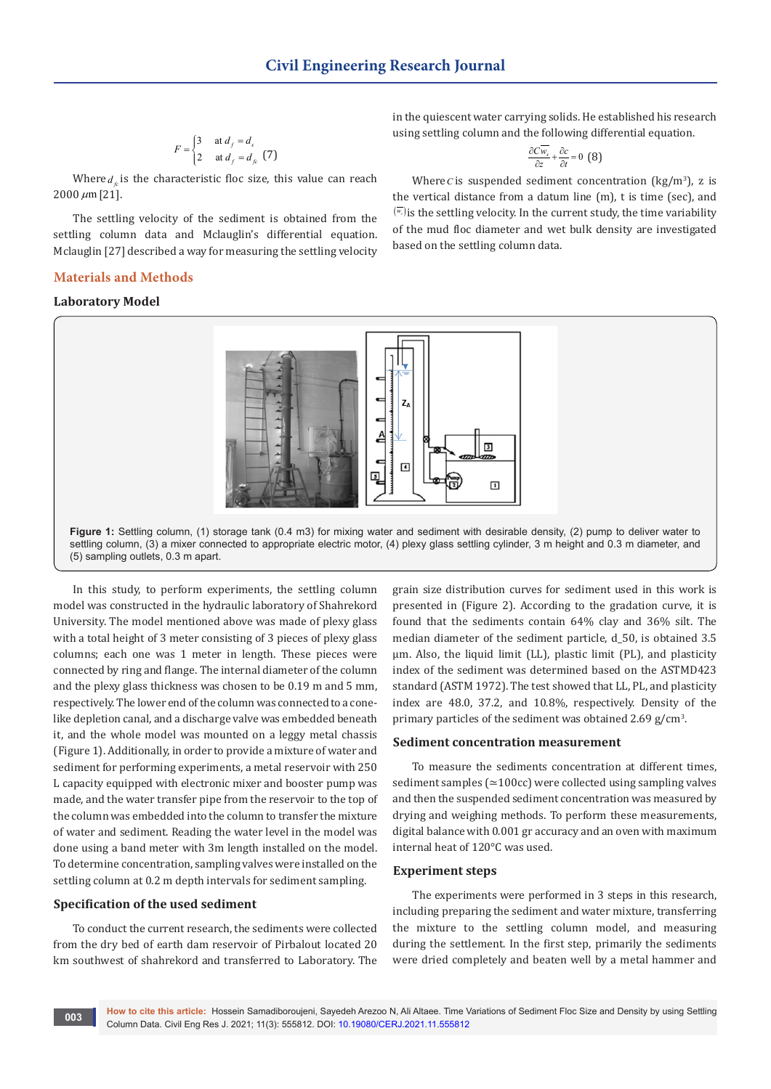$$
F = \begin{cases} 3 & \text{at } d_f = d_s \\ 2 & \text{at } d_f = d_{fc} \end{cases} (7)
$$

Where  $d_c$  is the characteristic floc size, this value can reach  $2000 \ \mu m$  [21].

The settling velocity of the sediment is obtained from the settling column data and Mclauglin's differential equation. Mclauglin [27] described a way for measuring the settling velocity

# **Materials and Methods**

## **Laboratory Model**

in the quiescent water carrying solids. He established his research using settling column and the following differential equation.

$$
\frac{\partial C \overline{w_s}}{\partial z} + \frac{\partial c}{\partial t} = 0
$$
 (8)

Where *C* is suspended sediment concentration ( $\text{kg/m}^3$ ), z is the vertical distance from a datum line (m), t is time (sec), and  $(\overline{w_s})$  is the settling velocity. In the current study, the time variability of the mud floc diameter and wet bulk density are investigated based on the settling column data.



**Figure 1:** Settling column, (1) storage tank (0.4 m3) for mixing water and sediment with desirable density, (2) pump to deliver water to settling column, (3) a mixer connected to appropriate electric motor, (4) plexy glass settling cylinder, 3 m height and 0.3 m diameter, and (5) sampling outlets, 0.3 m apart.

In this study, to perform experiments, the settling column model was constructed in the hydraulic laboratory of Shahrekord University. The model mentioned above was made of plexy glass with a total height of 3 meter consisting of 3 pieces of plexy glass columns; each one was 1 meter in length. These pieces were connected by ring and flange. The internal diameter of the column and the plexy glass thickness was chosen to be 0.19 m and 5 mm, respectively. The lower end of the column was connected to a conelike depletion canal, and a discharge valve was embedded beneath it, and the whole model was mounted on a leggy metal chassis (Figure 1). Additionally, in order to provide a mixture of water and sediment for performing experiments, a metal reservoir with 250 L capacity equipped with electronic mixer and booster pump was made, and the water transfer pipe from the reservoir to the top of the column was embedded into the column to transfer the mixture of water and sediment. Reading the water level in the model was done using a band meter with 3m length installed on the model. To determine concentration, sampling valves were installed on the settling column at 0.2 m depth intervals for sediment sampling.

# **Specification of the used sediment**

To conduct the current research, the sediments were collected from the dry bed of earth dam reservoir of Pirbalout located 20 km southwest of shahrekord and transferred to Laboratory. The

grain size distribution curves for sediment used in this work is presented in (Figure 2). According to the gradation curve, it is found that the sediments contain 64% clay and 36% silt. The median diameter of the sediment particle, d\_50, is obtained 3.5 μm. Also, the liquid limit (LL), plastic limit (PL), and plasticity index of the sediment was determined based on the ASTMD423 standard (ASTM 1972). The test showed that LL, PL, and plasticity index are 48.0, 37.2, and 10.8%, respectively. Density of the primary particles of the sediment was obtained  $2.69$  g/cm<sup>3</sup>.

## **Sediment concentration measurement**

To measure the sediments concentration at different times, sediment samples (≃100cc) were collected using sampling valves and then the suspended sediment concentration was measured by drying and weighing methods. To perform these measurements, digital balance with 0.001 gr accuracy and an oven with maximum internal heat of 120°C was used.

# **Experiment steps**

The experiments were performed in 3 steps in this research, including preparing the sediment and water mixture, transferring the mixture to the settling column model, and measuring during the settlement. In the first step, primarily the sediments were dried completely and beaten well by a metal hammer and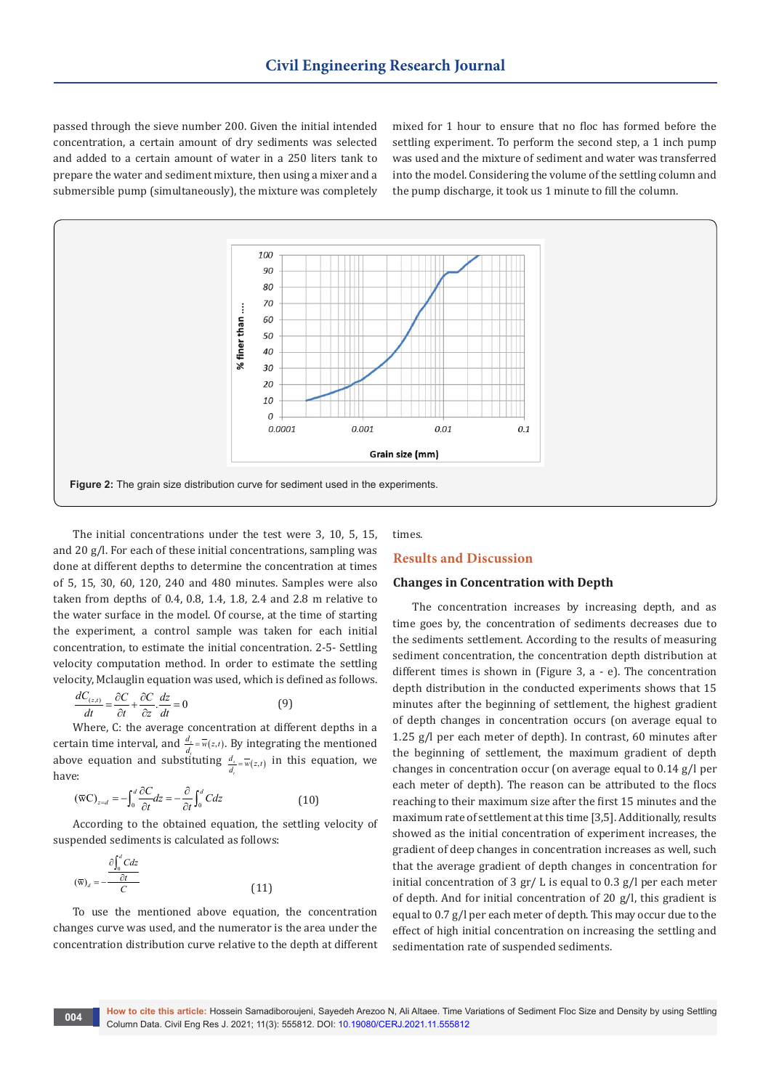passed through the sieve number 200. Given the initial intended concentration, a certain amount of dry sediments was selected and added to a certain amount of water in a 250 liters tank to prepare the water and sediment mixture, then using a mixer and a submersible pump (simultaneously), the mixture was completely

mixed for 1 hour to ensure that no floc has formed before the settling experiment. To perform the second step, a 1 inch pump was used and the mixture of sediment and water was transferred into the model. Considering the volume of the settling column and the pump discharge, it took us 1 minute to fill the column.



The initial concentrations under the test were 3, 10, 5, 15, and 20 g/l. For each of these initial concentrations, sampling was done at different depths to determine the concentration at times of 5, 15, 30, 60, 120, 240 and 480 minutes. Samples were also taken from depths of 0.4, 0.8, 1.4, 1.8, 2.4 and 2.8 m relative to the water surface in the model. Of course, at the time of starting the experiment, a control sample was taken for each initial concentration, to estimate the initial concentration. 2-5- Settling velocity computation method. In order to estimate the settling velocity, Mclauglin equation was used, which is defined as follows.

$$
\frac{dC_{(z,t)}}{dt} = \frac{\partial C}{\partial t} + \frac{\partial C}{\partial z} \cdot \frac{dz}{dt} = 0
$$
\n(9)

Where, C: the average concentration at different depths in a certain time interval, and  $\frac{d_z}{d_t} = \overline{w}(z,t)$ . By integrating the mentioned above equation and substituting  $\frac{d_z}{d_z} = \overline{w}(z,t)$  in this equation, we *t* have:

$$
(\overline{\mathbf{w}}\mathbf{C})_{z=d} = -\int_0^d \frac{\partial C}{\partial t} dz = -\frac{\partial}{\partial t} \int_0^d C dz \tag{10}
$$

According to the obtained equation, the settling velocity of suspended sediments is calculated as follows:

$$
(\overline{\mathbf{w}})_d = -\frac{\partial \int_0^d C dz}{C}
$$
 (11)

To use the mentioned above equation, the concentration changes curve was used, and the numerator is the area under the concentration distribution curve relative to the depth at different times.

# **Results and Discussion**

## **Changes in Concentration with Depth**

The concentration increases by increasing depth, and as time goes by, the concentration of sediments decreases due to the sediments settlement. According to the results of measuring sediment concentration, the concentration depth distribution at different times is shown in (Figure 3, a - e). The concentration depth distribution in the conducted experiments shows that 15 minutes after the beginning of settlement, the highest gradient of depth changes in concentration occurs (on average equal to 1.25 g/l per each meter of depth). In contrast, 60 minutes after the beginning of settlement, the maximum gradient of depth changes in concentration occur (on average equal to 0.14 g/l per each meter of depth). The reason can be attributed to the flocs reaching to their maximum size after the first 15 minutes and the maximum rate of settlement at this time [3,5]. Additionally, results showed as the initial concentration of experiment increases, the gradient of deep changes in concentration increases as well, such that the average gradient of depth changes in concentration for initial concentration of 3 gr/ L is equal to 0.3 g/l per each meter of depth. And for initial concentration of 20 g/l, this gradient is equal to 0.7 g/l per each meter of depth. This may occur due to the effect of high initial concentration on increasing the settling and sedimentation rate of suspended sediments.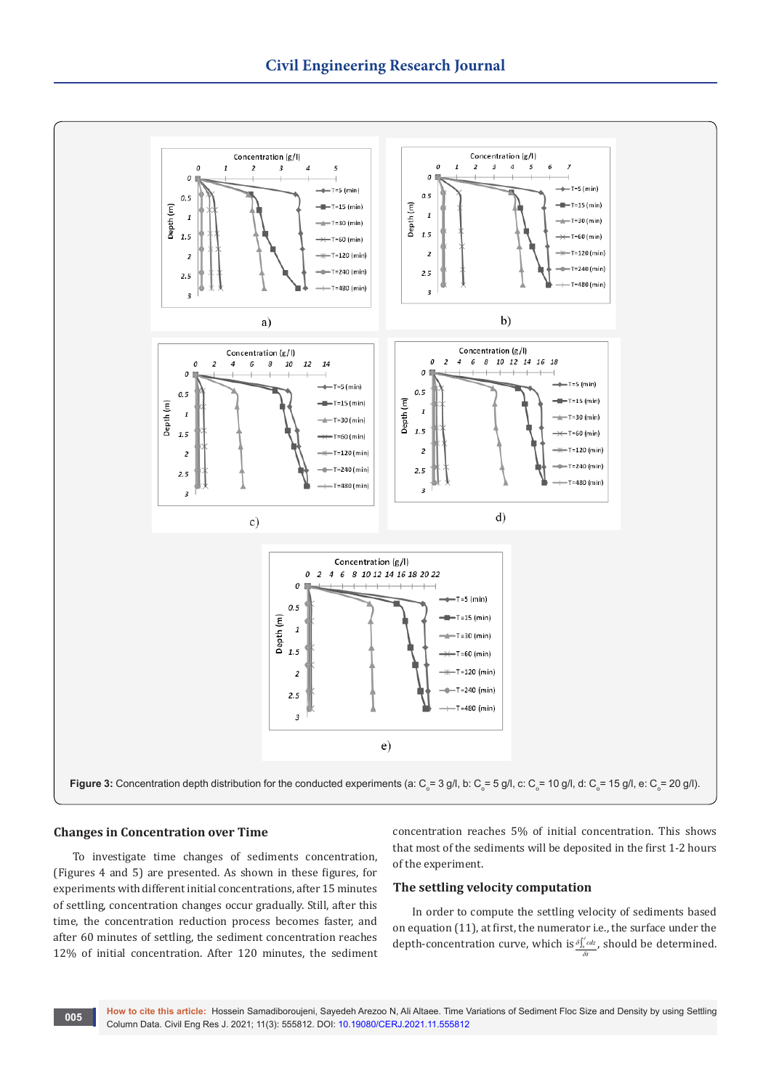

## **Changes in Concentration over Time**

To investigate time changes of sediments concentration, (Figures 4 and 5) are presented. As shown in these figures, for experiments with different initial concentrations, after 15 minutes of settling, concentration changes occur gradually. Still, after this time, the concentration reduction process becomes faster, and after 60 minutes of settling, the sediment concentration reaches 12% of initial concentration. After 120 minutes, the sediment

concentration reaches 5% of initial concentration. This shows that most of the sediments will be deposited in the first 1-2 hours of the experiment.

## **The settling velocity computation**

In order to compute the settling velocity of sediments based on equation (11), at first, the numerator i.e., the surface under the depth-concentration curve, which is  $\frac{\delta \int_{a}^{d} c d z}{\delta a}$ , should be determined. *t* δ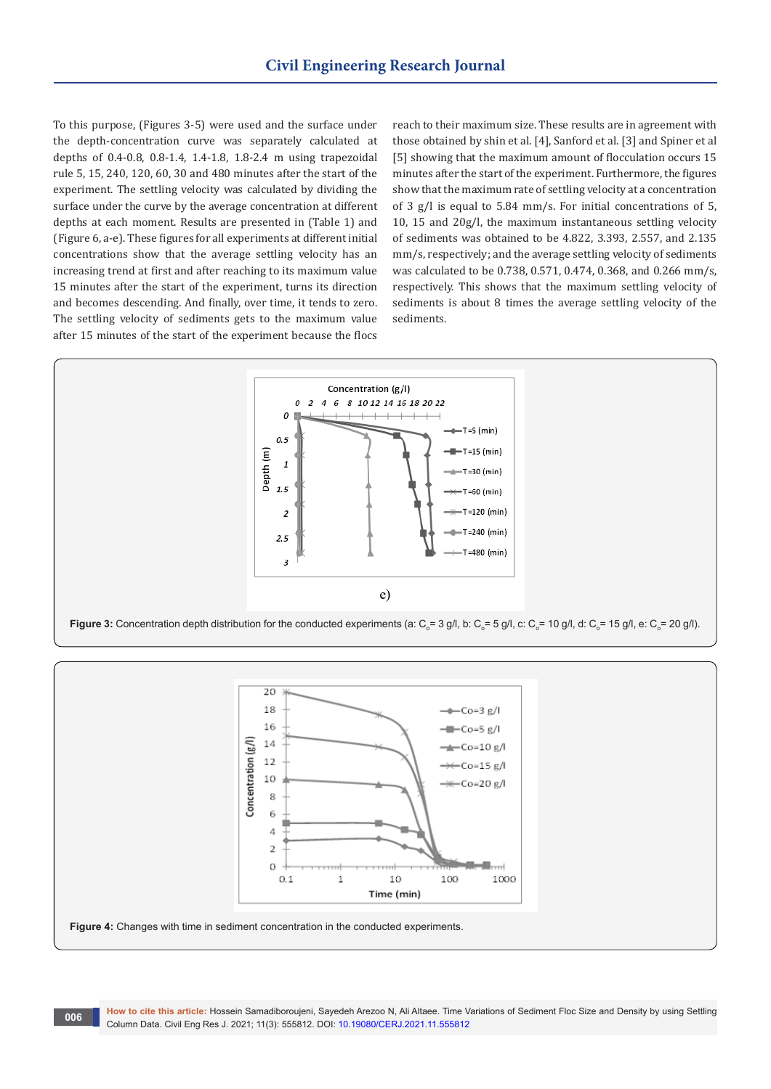To this purpose, (Figures 3-5) were used and the surface under the depth-concentration curve was separately calculated at depths of 0.4-0.8, 0.8-1.4, 1.4-1.8, 1.8-2.4 m using trapezoidal rule 5, 15, 240, 120, 60, 30 and 480 minutes after the start of the experiment. The settling velocity was calculated by dividing the surface under the curve by the average concentration at different depths at each moment. Results are presented in (Table 1) and (Figure 6, a-e). These figures for all experiments at different initial concentrations show that the average settling velocity has an increasing trend at first and after reaching to its maximum value 15 minutes after the start of the experiment, turns its direction and becomes descending. And finally, over time, it tends to zero. The settling velocity of sediments gets to the maximum value after 15 minutes of the start of the experiment because the flocs

reach to their maximum size. These results are in agreement with those obtained by shin et al. [4], Sanford et al. [3] and Spiner et al [5] showing that the maximum amount of flocculation occurs 15 minutes after the start of the experiment. Furthermore, the figures show that the maximum rate of settling velocity at a concentration of 3 g/l is equal to 5.84 mm/s. For initial concentrations of 5, 10, 15 and 20g/l, the maximum instantaneous settling velocity of sediments was obtained to be 4.822, 3.393, 2.557, and 2.135 mm/s, respectively; and the average settling velocity of sediments was calculated to be 0.738, 0.571, 0.474, 0.368, and 0.266 mm/s, respectively. This shows that the maximum settling velocity of sediments is about 8 times the average settling velocity of the sediments.



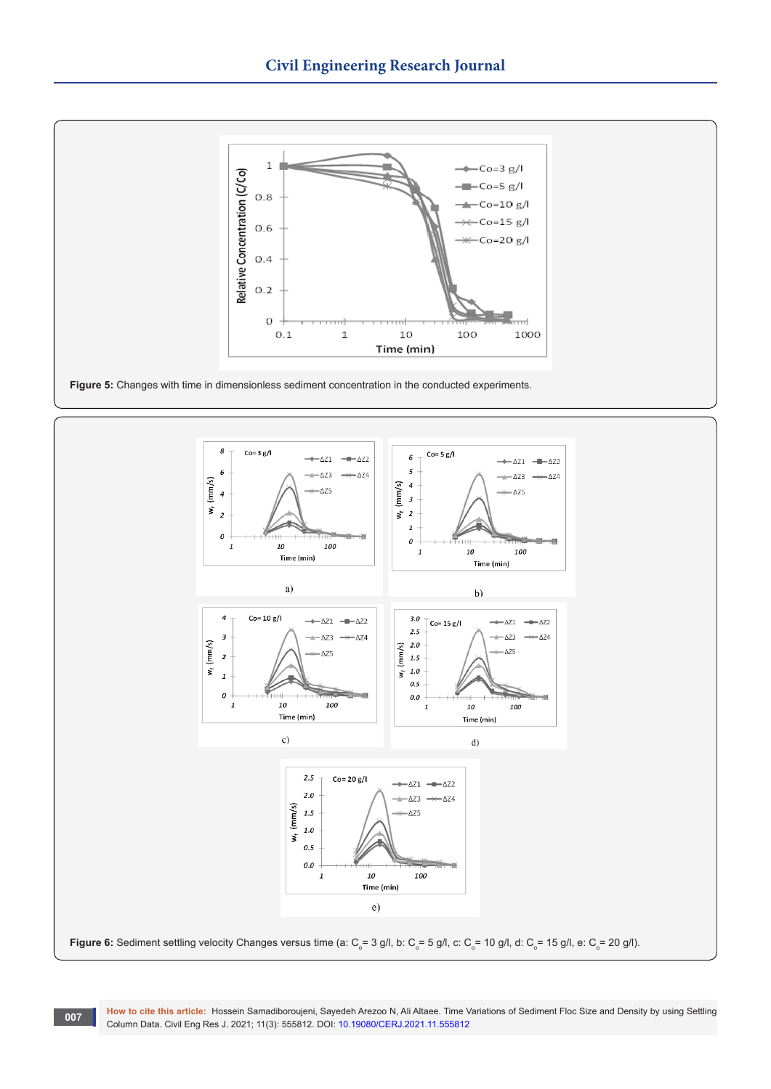



**How to cite this article:** Hossein Samadiboroujeni, Sayedeh Arezoo N, Ali Altaee. Time Variations of Sediment Floc Size and Density by using Settling **COLUM COLUMN DESCRIPS DESCRIPS DESCRIPS AND RESPONSIVE DESCRIPS DETAILS DESCRIPS ON A POST DETAILS DESCRIPS DE<br>Column Data. Civil Eng Res J. 2021; 11(3): 555812. DOI: [10.19080/CERJ.2021.11.555](http://dx.doi.org/10.19080/CERJ.2021.11.555812)812**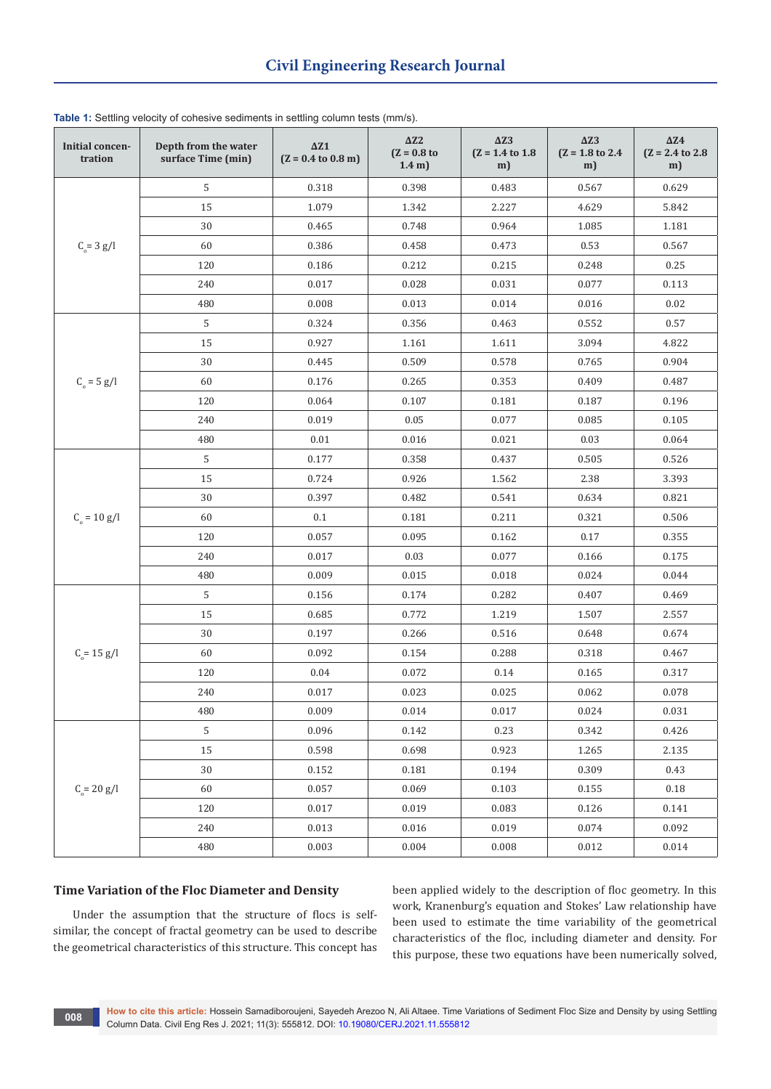| Initial concen-<br>tration | Depth from the water<br>surface Time (min) | $\Delta Z1$<br>$(Z = 0.4$ to $0.8$ m) | $\Delta Z2$<br>$(Z = 0.8$ to<br>1.4 <sub>m</sub> | $\Delta Z3$<br>$(Z = 1.4 \text{ to } 1.8)$<br>m) | $\Delta Z3$<br>$(Z = 1.8 \text{ to } 2.4)$<br>m) | $\Delta Z4$<br>$(Z = 2.4$ to 2.8<br>m) |
|----------------------------|--------------------------------------------|---------------------------------------|--------------------------------------------------|--------------------------------------------------|--------------------------------------------------|----------------------------------------|
| $C_{0} = 3 g/l$            | $\mathsf S$                                | 0.318                                 | 0.398                                            | 0.483                                            | 0.567                                            | 0.629                                  |
|                            | 15                                         | 1.079                                 | 1.342                                            | 2.227                                            | 4.629                                            | 5.842                                  |
|                            | 30                                         | 0.465                                 | 0.748                                            | 0.964                                            | 1.085                                            | 1.181                                  |
|                            | 60                                         | 0.386                                 | 0.458                                            | 0.473                                            | 0.53                                             | 0.567                                  |
|                            | 120                                        | 0.186                                 | 0.212                                            | 0.215                                            | 0.248                                            | 0.25                                   |
|                            | 240                                        | 0.017                                 | 0.028                                            | 0.031                                            | 0.077                                            | 0.113                                  |
|                            | 480                                        | 0.008                                 | 0.013                                            | 0.014                                            | 0.016                                            | 0.02                                   |
| $C_{o} = 5 g/l$            | 5                                          | 0.324                                 | 0.356                                            | 0.463                                            | 0.552                                            | 0.57                                   |
|                            | 15                                         | 0.927                                 | 1.161                                            | 1.611                                            | 3.094                                            | 4.822                                  |
|                            | 30                                         | 0.445                                 | 0.509                                            | 0.578                                            | 0.765                                            | 0.904                                  |
|                            | 60                                         | 0.176                                 | 0.265                                            | 0.353                                            | 0.409                                            | 0.487                                  |
|                            | 120                                        | 0.064                                 | 0.107                                            | 0.181                                            | 0.187                                            | 0.196                                  |
|                            | 240                                        | 0.019                                 | 0.05                                             | 0.077                                            | 0.085                                            | 0.105                                  |
|                            | 480                                        | 0.01                                  | 0.016                                            | 0.021                                            | 0.03                                             | 0.064                                  |
| $C_{0} = 10 g/l$           | 5                                          | 0.177                                 | 0.358                                            | 0.437                                            | 0.505                                            | 0.526                                  |
|                            | 15                                         | 0.724                                 | 0.926                                            | 1.562                                            | 2.38                                             | 3.393                                  |
|                            | 30                                         | 0.397                                 | 0.482                                            | 0.541                                            | 0.634                                            | 0.821                                  |
|                            | 60                                         | 0.1                                   | 0.181                                            | 0.211                                            | 0.321                                            | 0.506                                  |
|                            | 120                                        | 0.057                                 | 0.095                                            | 0.162                                            | 0.17                                             | 0.355                                  |
|                            | 240                                        | 0.017                                 | 0.03                                             | 0.077                                            | 0.166                                            | 0.175                                  |
|                            | 480                                        | 0.009                                 | 0.015                                            | 0.018                                            | 0.024                                            | 0.044                                  |
| $C_{0} = 15$ g/l           | 5                                          | 0.156                                 | 0.174                                            | 0.282                                            | 0.407                                            | 0.469                                  |
|                            | 15                                         | 0.685                                 | 0.772                                            | 1.219                                            | 1.507                                            | 2.557                                  |
|                            | 30                                         | 0.197                                 | 0.266                                            | 0.516                                            | 0.648                                            | 0.674                                  |
|                            | 60                                         | 0.092                                 | 0.154                                            | 0.288                                            | 0.318                                            | 0.467                                  |
|                            | 120                                        | 0.04                                  | 0.072                                            | 0.14                                             | 0.165                                            | 0.317                                  |
|                            | 240                                        | 0.017                                 | 0.023                                            | 0.025                                            | 0.062                                            | 0.078                                  |
|                            | 480                                        | 0.009                                 | 0.014                                            | 0.017                                            | 0.024                                            | 0.031                                  |
| $C_{0} = 20 g/l$           | 5                                          | 0.096                                 | 0.142                                            | 0.23                                             | 0.342                                            | 0.426                                  |
|                            | 15                                         | 0.598                                 | 0.698                                            | 0.923                                            | 1.265                                            | 2.135                                  |
|                            | 30                                         | 0.152                                 | 0.181                                            | 0.194                                            | 0.309                                            | 0.43                                   |
|                            | 60                                         | 0.057                                 | 0.069                                            | 0.103                                            | 0.155                                            | 0.18                                   |
|                            | 120                                        | 0.017                                 | 0.019                                            | 0.083                                            | 0.126                                            | 0.141                                  |
|                            | 240                                        | 0.013                                 | 0.016                                            | 0.019                                            | 0.074                                            | 0.092                                  |
|                            | 480                                        | 0.003                                 | 0.004                                            | 0.008                                            | 0.012                                            | 0.014                                  |

**Table 1:** Settling velocity of cohesive sediments in settling column tests (mm/s).

## **Time Variation of the Floc Diameter and Density**

Under the assumption that the structure of flocs is selfsimilar, the concept of fractal geometry can be used to describe the geometrical characteristics of this structure. This concept has

been applied widely to the description of floc geometry. In this work, Kranenburg's equation and Stokes' Law relationship have been used to estimate the time variability of the geometrical characteristics of the floc, including diameter and density. For this purpose, these two equations have been numerically solved,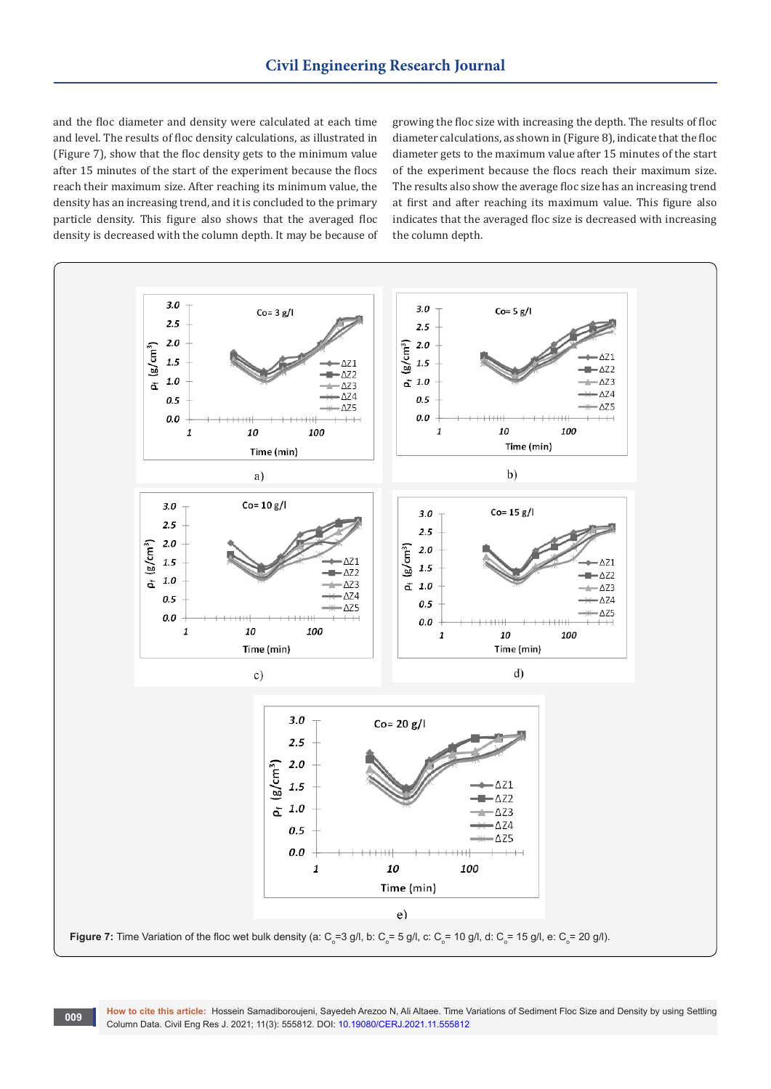and the floc diameter and density were calculated at each time and level. The results of floc density calculations, as illustrated in (Figure 7), show that the floc density gets to the minimum value after 15 minutes of the start of the experiment because the flocs reach their maximum size. After reaching its minimum value, the density has an increasing trend, and it is concluded to the primary particle density. This figure also shows that the averaged floc density is decreased with the column depth. It may be because of growing the floc size with increasing the depth. The results of floc diameter calculations, as shown in (Figure 8), indicate that the floc diameter gets to the maximum value after 15 minutes of the start of the experiment because the flocs reach their maximum size. The results also show the average floc size has an increasing trend at first and after reaching its maximum value. This figure also indicates that the averaged floc size is decreased with increasing the column depth.



**How to cite this article:** Hossein Samadiboroujeni, Sayedeh Arezoo N, Ali Altaee. Time Variations of Sediment Floc Size and Density by using Settling **COLUMN DREAMS ANCHE.** 11055611 Samadhologiem, Sayeden Arezoo N, All Aliaee. Three v<br>Column Data. Civil Eng Res J. 2021; 11(3): 555812. DOI: [10.19080/CERJ.2021.11.555](http://dx.doi.org/10.19080/CERJ.2021.11.555812)812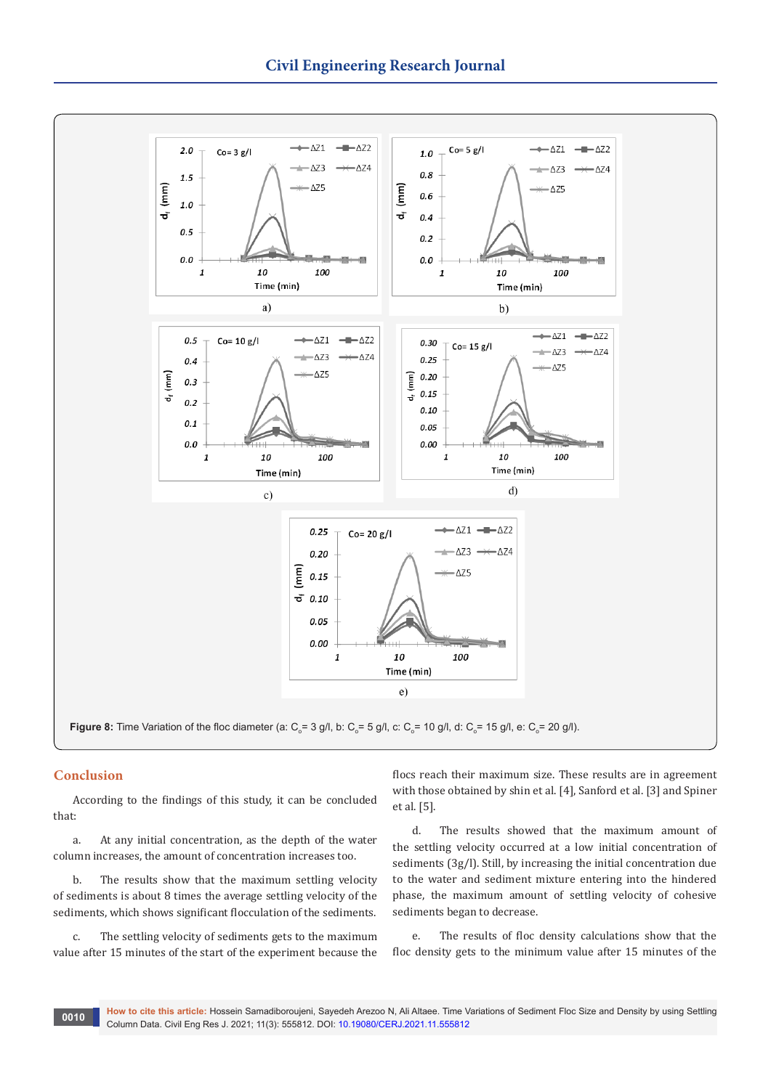

# **Conclusion**

According to the findings of this study, it can be concluded that:

a. At any initial concentration, as the depth of the water column increases, the amount of concentration increases too.

b. The results show that the maximum settling velocity of sediments is about 8 times the average settling velocity of the sediments, which shows significant flocculation of the sediments.

c. The settling velocity of sediments gets to the maximum value after 15 minutes of the start of the experiment because the

flocs reach their maximum size. These results are in agreement with those obtained by shin et al. [4], Sanford et al. [3] and Spiner et al. [5].

d. The results showed that the maximum amount of the settling velocity occurred at a low initial concentration of sediments (3g/l). Still, by increasing the initial concentration due to the water and sediment mixture entering into the hindered phase, the maximum amount of settling velocity of cohesive sediments began to decrease.

e. The results of floc density calculations show that the floc density gets to the minimum value after 15 minutes of the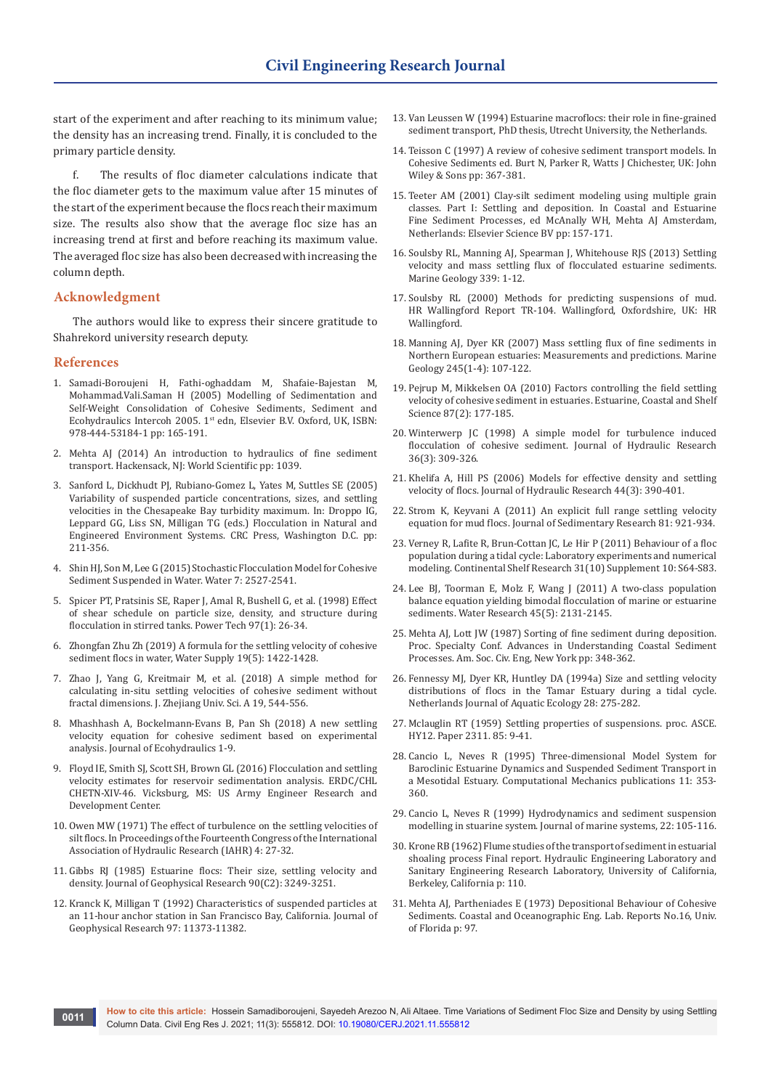start of the experiment and after reaching to its minimum value; the density has an increasing trend. Finally, it is concluded to the primary particle density.

f. The results of floc diameter calculations indicate that the floc diameter gets to the maximum value after 15 minutes of the start of the experiment because the flocs reach their maximum size. The results also show that the average floc size has an increasing trend at first and before reaching its maximum value. The averaged floc size has also been decreased with increasing the column depth.

# **Acknowledgment**

The authors would like to express their sincere gratitude to Shahrekord university research deputy.

## **References**

- 1. Samadi-Boroujeni H, Fathi-oghaddam M, Shafaie-Bajestan M, Mohammad.Vali.Saman H (2005) Modelling of Sedimentation and Self-Weight Consolidation of Cohesive Sediments, Sediment and Ecohydraulics Intercoh 2005. 1st edn, Elsevier B.V. Oxford, UK, ISBN: 978-444-53184-1 pp: 165-191.
- 2. Mehta AJ (2014) An introduction to hydraulics of fine sediment transport. Hackensack, NJ: World Scientific pp: 1039.
- 3. Sanford L, Dickhudt PJ, Rubiano-Gomez L, Yates M, Suttles SE (2005) Variability of suspended particle concentrations, sizes, and settling velocities in the Chesapeake Bay turbidity maximum. In: Droppo IG, Leppard GG, Liss SN, Milligan TG (eds.) Flocculation in Natural and Engineered Environment Systems. CRC Press, Washington D.C. pp: 211-356.
- 4. Shin HJ, Son M, Lee G (2015) Stochastic Flocculation Model for Cohesive Sediment Suspended in Water. Water 7: 2527-2541.
- 5. [Spicer PT, Pratsinis SE, Raper J, Amal R, Bushell G, et al. \(1998\) Effect](https://www.sciencedirect.com/science/article/abs/pii/S0032591097033895)  [of shear schedule on particle size, density, and structure during](https://www.sciencedirect.com/science/article/abs/pii/S0032591097033895)  [flocculation in stirred tanks. Power Tech 97\(1\): 26-34.](https://www.sciencedirect.com/science/article/abs/pii/S0032591097033895)
- 6. [Zhongfan Zhu Zh \(2019\) A formula for the settling velocity of cohesive](https://iwaponline.com/ws/article/19/5/1422/65501/A-formula-for-the-settling-velocity-of-cohesive)  [sediment flocs in water, Water Supply 19\(5\): 1422-1428.](https://iwaponline.com/ws/article/19/5/1422/65501/A-formula-for-the-settling-velocity-of-cohesive)
- 7. [Zhao J, Yang G, Kreitmair M, et al. \(2018\) A simple method for](https://link.springer.com/article/10.1631/jzus.A1700185)  [calculating in-situ settling velocities of cohesive sediment without](https://link.springer.com/article/10.1631/jzus.A1700185)  [fractal dimensions. J. Zhejiang Univ. Sci. A 19, 544-556.](https://link.springer.com/article/10.1631/jzus.A1700185)
- 8. Mhashhash A, Bockelmann-Evans B, Pan Sh (2018) A new settling velocity equation for cohesive sediment based on experimental analysis. Journal of Ecohydraulics 1-9.
- 9. [Floyd IE, Smith SJ, Scott SH, Brown GL \(2016\) Flocculation and settling](https://apps.dtic.mil/sti/pdfs/AD1002918.pdf)  [velocity estimates for reservoir sedimentation analysis. ERDC/CHL](https://apps.dtic.mil/sti/pdfs/AD1002918.pdf)  [CHETN-XIV-46. Vicksburg, MS: US Army Engineer Research and](https://apps.dtic.mil/sti/pdfs/AD1002918.pdf)  [Development Center.](https://apps.dtic.mil/sti/pdfs/AD1002918.pdf)
- 10. Owen MW (1971) The effect of turbulence on the settling velocities of silt flocs. In Proceedings of the Fourteenth Congress of the International Association of Hydraulic Research (IAHR) 4: 27-32.
- 11. [Gibbs RJ \(1985\) Estuarine flocs: Their size, settling velocity and](https://agupubs.onlinelibrary.wiley.com/doi/abs/10.1029/JC090iC02p03249)  [density. Journal of Geophysical Research 90\(C2\): 3249-3251.](https://agupubs.onlinelibrary.wiley.com/doi/abs/10.1029/JC090iC02p03249)
- 12. [Kranck K, Milligan T \(1992\) Characteristics of suspended particles at](https://agupubs.onlinelibrary.wiley.com/doi/abs/10.1029/92JC00950)  [an 11-hour anchor station in San Francisco Bay, California. Journal of](https://agupubs.onlinelibrary.wiley.com/doi/abs/10.1029/92JC00950)  [Geophysical Research 97: 11373-11382.](https://agupubs.onlinelibrary.wiley.com/doi/abs/10.1029/92JC00950)
- 13. Van Leussen W (1994) Estuarine macroflocs: their role in fine-grained sediment transport, PhD thesis, Utrecht University, the Netherlands.
- 14. Teisson C (1997) A review of cohesive sediment transport models. In Cohesive Sediments ed. Burt N, Parker R, Watts J Chichester, UK: John Wiley & Sons pp: 367-381.
- 15. Teeter AM (2001) Clay-silt sediment modeling using multiple grain classes. Part I: Settling and deposition. In Coastal and Estuarine Fine Sediment Processes, ed McAnally WH, Mehta AJ Amsterdam, Netherlands: Elsevier Science BV pp: 157-171.
- 16. [Soulsby RL, Manning AJ, Spearman J, Whitehouse RJS \(2013\) Settling](https://www.sciencedirect.com/science/article/abs/pii/S0025322713000388)  [velocity and mass settling flux of flocculated estuarine sediments.](https://www.sciencedirect.com/science/article/abs/pii/S0025322713000388)  [Marine Geology 339: 1-12.](https://www.sciencedirect.com/science/article/abs/pii/S0025322713000388)
- 17. [Soulsby RL \(2000\) Methods for predicting suspensions of mud.](https://eprints.hrwallingford.com/897/)  [HR Wallingford Report TR-104. Wallingford, Oxfordshire, UK: HR](https://eprints.hrwallingford.com/897/)  [Wallingford.](https://eprints.hrwallingford.com/897/)
- 18. [Manning AJ, Dyer KR \(2007\) Mass settling flux of fine sediments in](https://www.sciencedirect.com/science/article/abs/pii/S002532270700179X)  [Northern European estuaries: Measurements and predictions. Marine](https://www.sciencedirect.com/science/article/abs/pii/S002532270700179X)  [Geology 245\(1-4\): 107-122.](https://www.sciencedirect.com/science/article/abs/pii/S002532270700179X)
- 19. [Pejrup M, Mikkelsen OA \(2010\) Factors controlling the field settling](https://www.sciencedirect.com/science/article/abs/pii/S0272771409004600)  [velocity of cohesive sediment in estuaries. Estuarine, Coastal and Shelf](https://www.sciencedirect.com/science/article/abs/pii/S0272771409004600)  [Science 87\(2\): 177-185.](https://www.sciencedirect.com/science/article/abs/pii/S0272771409004600)
- 20. [Winterwerp JC \(1998\) A simple model for turbulence induced](https://www.tandfonline.com/doi/abs/10.1080/00221689809498621)  [flocculation of cohesive sediment. Journal of Hydraulic Research](https://www.tandfonline.com/doi/abs/10.1080/00221689809498621)  [36\(3\): 309-326.](https://www.tandfonline.com/doi/abs/10.1080/00221689809498621)
- 21. Khelifa A, Hill PS (2006) Models for effective density and settling velocity of flocs. Journal of Hydraulic Research 44(3): 390-401.
- 22. [Strom K, Keyvani A \(2011\) An explicit full range settling velocity](https://pubs.geoscienceworld.org/sepm/jsedres/article-abstract/81/12/921/145362/An-Explicit-Full-Range-Settling-Velocity-Equation?redirectedFrom=fulltext)  [equation for mud flocs. Journal of Sedimentary Research 81: 921-934.](https://pubs.geoscienceworld.org/sepm/jsedres/article-abstract/81/12/921/145362/An-Explicit-Full-Range-Settling-Velocity-Equation?redirectedFrom=fulltext)
- 23. [Verney R, Lafite R, Brun-Cottan JC, Le Hir P \(2011\) Behaviour of a floc](https://archimer.ifremer.fr/doc/00027/13846/)  [population during a tidal cycle: Laboratory experiments and numerical](https://archimer.ifremer.fr/doc/00027/13846/)  [modeling. Continental Shelf Research 31\(10\) Supplement 10: S64-S83.](https://archimer.ifremer.fr/doc/00027/13846/)
- 24. [Lee BJ, Toorman E, Molz F, Wang J \(2011\) A two-class population](https://www.sciencedirect.com/science/article/abs/pii/S0043135410008833)  [balance equation yielding bimodal flocculation of marine or estuarine](https://www.sciencedirect.com/science/article/abs/pii/S0043135410008833)  [sediments. Water Research 45\(5\): 2131-2145.](https://www.sciencedirect.com/science/article/abs/pii/S0043135410008833)
- 25. Mehta AJ, Lott JW (1987) Sorting of fine sediment during deposition. Proc. Specialty Conf. Advances in Understanding Coastal Sediment Processes. Am. Soc. Civ. Eng, New York pp: 348-362.
- 26. [Fennessy MJ, Dyer KR, Huntley DA \(1994a\) Size and settling velocity](https://link.springer.com/article/10.1007/BF02334195)  [distributions of flocs in the Tamar Estuary during a tidal cycle.](https://link.springer.com/article/10.1007/BF02334195)  [Netherlands Journal of Aquatic Ecology 28: 275-282.](https://link.springer.com/article/10.1007/BF02334195)
- 27. [Mclauglin RT \(1959\) Settling properties of suspensions. proc. ASCE.](https://ascelibrary.org/doi/abs/10.1061/JYCEAJ.0000382) [HY12. Paper 2311. 85: 9-41.](https://ascelibrary.org/doi/abs/10.1061/JYCEAJ.0000382)
- 28. Cancio L, Neves R (1995) Three-dimensional Model System for Baroclinic Estuarine Dynamics and Suspended Sediment Transport in a Mesotidal Estuary. Computational Mechanics publications 11: 353- 360.
- 29. [Cancio L, Neves R \(1999\) Hydrodynamics and sediment suspension](https://www.sciencedirect.com/science/article/abs/pii/S0924796399000354)  [modelling in stuarine system. Journal of marine systems, 22: 105-116.](https://www.sciencedirect.com/science/article/abs/pii/S0924796399000354)
- 30. Krone RB (1962) Flume studies of the transport of sediment in estuarial shoaling process Final report. Hydraulic Engineering Laboratory and Sanitary Engineering Research Laboratory, University of California, Berkeley, California p: 110.
- 31. Mehta AJ, Partheniades E (1973) Depositional Behaviour of Cohesive Sediments. Coastal and Oceanographic Eng. Lab. Reports No.16, Univ. of Florida p: 97.